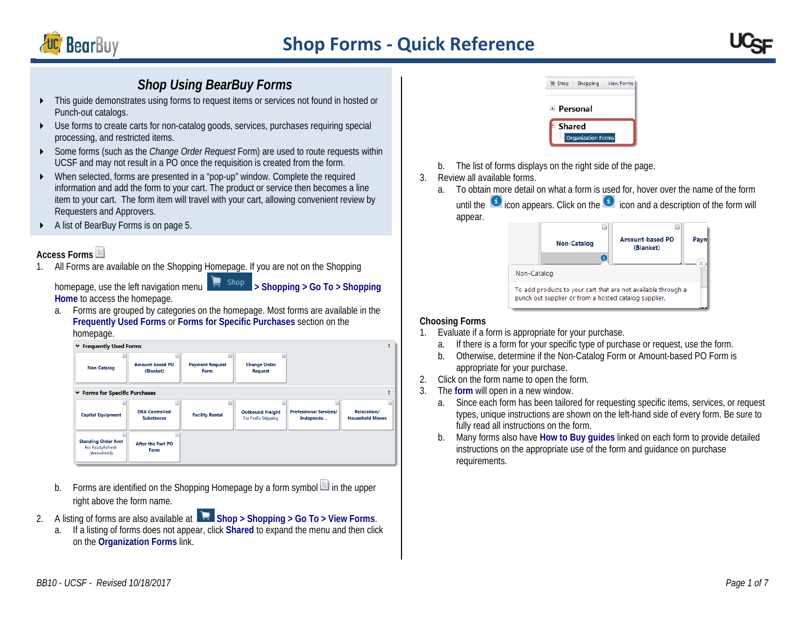

# *Shop Using BearBuy Forms*

- This guide demonstrates using forms to request items or services not found in hosted or Punch-out catalogs.
- Use forms to create carts for non-catalog goods, services, purchases requiring special processing, and restricted items.
- Some forms (such as the *Change Order Request* Form) are used to route requests within UCSF and may not result in a PO once the requisition is created from the form.
- When selected, forms are presented in a "pop-up" window. Complete the required information and add the form to your cart. The product or service then becomes a line item to your cart. The form item will travel with your cart, allowing convenient review by Requesters and Approvers.
- A list of BearBuy Forms is on page 5.

## **Access Forms**

1. All Forms are available on the Shopping Homepage. If you are not on the Shopping

**Home** to access the homepage.

homepage, use the left navigation menu **> Shopping > Go To > Shopping** 

a. Forms are grouped by categories on the homepage. Most forms are available in the **Frequently Used Forms** or **Forms for Specific Purchases** section on the homepage.

| ↓ Frequently Used Forms                                      |                                            |                                     |                                               |                                            |                                       |
|--------------------------------------------------------------|--------------------------------------------|-------------------------------------|-----------------------------------------------|--------------------------------------------|---------------------------------------|
| <b>Non-Catalog</b>                                           | B<br><b>Amount-based PO</b><br>(Blanket)   | B<br><b>Payment Request</b><br>Form | <b>Change Order</b><br><b>Request</b>         |                                            |                                       |
| ↓ Forms for Specific Purchases                               |                                            |                                     |                                               |                                            |                                       |
|                                                              | m                                          | B                                   |                                               |                                            | B)                                    |
| <b>Capital Equipment</b>                                     | <b>DEA Controlled</b><br><b>Substances</b> | <b>Facility Rental</b>              | <b>Outbound Freight</b><br>For FedEx Shipping | <b>Professional Services/</b><br>Independe | Relocation/<br><b>Household Moves</b> |
| <b>Standing Order Amt</b><br>For ReadyRefresh<br>(Arrowhead) | <b>After the Fact PO</b><br>Form           |                                     |                                               |                                            |                                       |

- b. Forms are identified on the Shopping Homepage by a form symbol  $\Box$  in the upper right above the form name.
- 2. A listing of forms are also available at **Shop > Shopping > Go To > View Forms**.
	- a. If a listing of forms does not appear, click **Shared** to expand the menu and then click on the **Organization Forms** link.



- b. The list of forms displays on the right side of the page.
- 3. Review all available forms.
	- a. To obtain more detail on what a form is used for, hover over the name of the form until the  $\Box$  icon appears. Click on the  $\Box$  icon and a description of the form will appear.

|             | <b>Non-Catalog</b>                                    | <b>Amount-based PO</b><br>(Blanket)                           |  |
|-------------|-------------------------------------------------------|---------------------------------------------------------------|--|
| Non-Catalog |                                                       |                                                               |  |
|             | punch out supplier or from a hosted catalog supplier. | To add products to your cart that are not available through a |  |

### **Choosing Forms**

- 1. Evaluate if a form is appropriate for your purchase.
	- a. If there is a form for your specific type of purchase or request, use the form.
	- b. Otherwise, determine if the Non-Catalog Form or Amount-based PO Form is appropriate for your purchase.
- 2. Click on the form name to open the form.
- 3. The **form** will open in a new window.
	- a. Since each form has been tailored for requesting specific items, services, or request types, unique instructions are shown on the left-hand side of every form. Be sure to fully read all instructions on the form.
	- b. Many forms also have **How to Buy guides** linked on each form to provide detailed instructions on the appropriate use of the form and guidance on purchase requirements.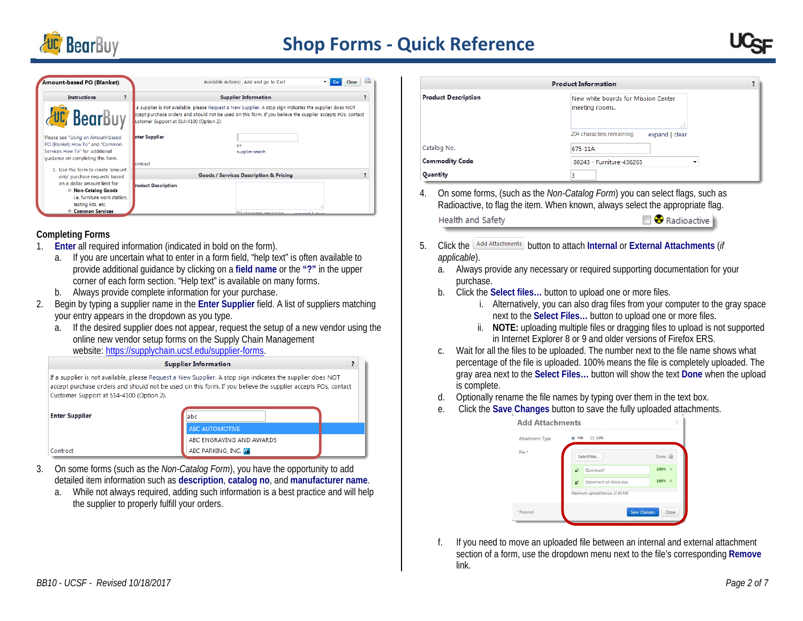

| Amount-based PO (Blanket)                                                                                                                     | Available Actions: Add and go to Cart                                                                                                                                                                                                                             |
|-----------------------------------------------------------------------------------------------------------------------------------------------|-------------------------------------------------------------------------------------------------------------------------------------------------------------------------------------------------------------------------------------------------------------------|
| <b>Instructions</b>                                                                                                                           | <b>Supplier Information</b>                                                                                                                                                                                                                                       |
| <b>UC</b> BearBuy                                                                                                                             | a supplier is not available, please Request a New Supplier. A stop sign indicates the supplier does NOT<br>ccept purchase orders and should not be used on this form. If you believe the supplier accepts POs, contact<br>ustomer Support at 514-4100 (Option 2). |
| Please see "Using an Amount-based<br>PO (Blanket) How To" and "Common<br>Services How To" for additional<br>quidance on completing this form. | nter Supplier<br>or<br>supplier search                                                                                                                                                                                                                            |
| 1. Use this form to create 'amount                                                                                                            | lontract                                                                                                                                                                                                                                                          |
| only' purchase requests based                                                                                                                 | <b>Goods / Services Description &amp; Pricing</b>                                                                                                                                                                                                                 |
| on a dollar amount limit for:<br>O Non-Catalog Goods<br>i.e. furniture work station.                                                          | roduct Description                                                                                                                                                                                                                                                |
| testing kits, etc.<br><b>O Common Services</b>                                                                                                |                                                                                                                                                                                                                                                                   |
|                                                                                                                                               | 254 characters remaining<br>بممام الممموسيم                                                                                                                                                                                                                       |

#### **Completing Forms**

- 1. **Enter** all required information (indicated in bold on the form).
	- a. If you are uncertain what to enter in a form field, "help text" is often available to provide additional guidance by clicking on a **field name** or the **"?"** in the upper corner of each form section. "Help text" is available on many forms.
	- b. Always provide complete information for your purchase.
- 2. Begin by typing a supplier name in the **Enter Supplier** field. A list of suppliers matching your entry appears in the dropdown as you type.
	- a. If the desired supplier does not appear, request the setup of a new vendor using the online new vendor setup forms on the Supply Chain Management website: [https://supplychain.ucsf.edu/supplier-forms.](https://supplychain.ucsf.edu/supplier-forms)



- 3. On some forms (such as the *Non-Catalog Form*), you have the opportunity to add detailed item information such as **description**, **catalog no**, and **manufacturer name**.
	- a. While not always required, adding such information is a best practice and will help the supplier to properly fulfill your orders.

|             |                              | <b>Product Information</b><br>2                                                                                                                                                                                                                                                                                                                                                   |
|-------------|------------------------------|-----------------------------------------------------------------------------------------------------------------------------------------------------------------------------------------------------------------------------------------------------------------------------------------------------------------------------------------------------------------------------------|
|             | <b>Product Description</b>   | New white boards for Mission Center<br>meeting rooms.                                                                                                                                                                                                                                                                                                                             |
|             |                              | 204 characters remaining<br>expand   clear                                                                                                                                                                                                                                                                                                                                        |
| Catalog No. |                              | 675-11A                                                                                                                                                                                                                                                                                                                                                                           |
|             | <b>Commodity Code</b>        | 00243 - Furniture-436265                                                                                                                                                                                                                                                                                                                                                          |
| Quantity    |                              | 3                                                                                                                                                                                                                                                                                                                                                                                 |
|             | Health and Safety            | On some forms, (such as the Non-Catalog Form) you can select flags, such as<br>Radioactive, to flag the item. When known, always select the appropriate flag.<br><sup>3</sup> Radioactive                                                                                                                                                                                         |
|             | Add Attachments<br>Click the | button to attach Internal or External Attachments (if                                                                                                                                                                                                                                                                                                                             |
|             | applicable).                 |                                                                                                                                                                                                                                                                                                                                                                                   |
| a.          |                              | Always provide any necessary or required supporting documentation for your                                                                                                                                                                                                                                                                                                        |
|             | purchase.                    |                                                                                                                                                                                                                                                                                                                                                                                   |
| b.          |                              | Click the Select files button to upload one or more files.                                                                                                                                                                                                                                                                                                                        |
|             | İ.                           | Alternatively, you can also drag files from your computer to the gray space<br>next to the Select Files button to upload one or more files.                                                                                                                                                                                                                                       |
|             |                              |                                                                                                                                                                                                                                                                                                                                                                                   |
|             | ii.                          |                                                                                                                                                                                                                                                                                                                                                                                   |
|             |                              | in Internet Explorer 8 or 9 and older versions of Firefox ERS.                                                                                                                                                                                                                                                                                                                    |
| C.          |                              |                                                                                                                                                                                                                                                                                                                                                                                   |
|             |                              |                                                                                                                                                                                                                                                                                                                                                                                   |
|             |                              |                                                                                                                                                                                                                                                                                                                                                                                   |
| d.          | is complete.                 |                                                                                                                                                                                                                                                                                                                                                                                   |
| e.          |                              | Optionally rename the file names by typing over them in the text box.<br>Click the Save Changes button to save the fully uploaded attachments.                                                                                                                                                                                                                                    |
|             | <b>Add Attachments</b>       |                                                                                                                                                                                                                                                                                                                                                                                   |
|             | Attachment Type              | @ File<br>$6$ Link                                                                                                                                                                                                                                                                                                                                                                |
|             | File *                       |                                                                                                                                                                                                                                                                                                                                                                                   |
|             |                              | NOTE: uploading multiple files or dragging files to upload is not supported<br>Wait for all the files to be uploaded. The number next to the file name shows what<br>percentage of the file is uploaded. 100% means the file is completely uploaded. The<br>gray area next to the Select Files button will show the text Done when the upload<br>Select files<br>Done @<br>100% × |
|             |                              | Quote.pdf<br>100% ×<br>Statement of Work.doc                                                                                                                                                                                                                                                                                                                                      |

f. If you need to move an uploaded file between an internal and external attachment section of a form, use the dropdown menu next to the file's corresponding **Remove** link.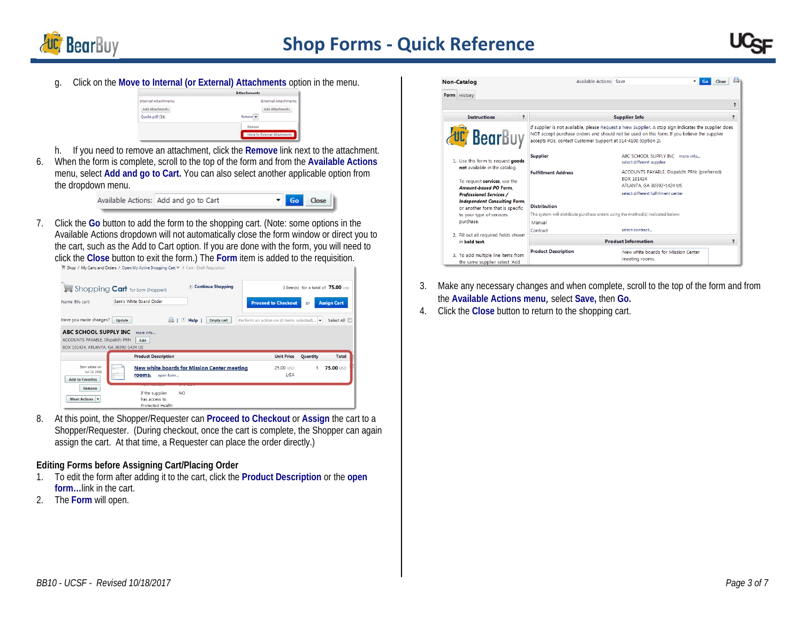



g. Click on the **Move to Internal (or External) Attachments** option in the menu.

| <b>Attachments</b>           |
|------------------------------|
| <b>External Attachments</b>  |
| Add Attachments              |
| Remove <b>v</b>              |
| Remove                       |
| Move to External Attachments |
|                              |

- h. If you need to remove an attachment, click the **Remove** link next to the attachment.
- 6. When the form is complete, scroll to the top of the form and from the **[Available Actions](javascript:openFieldHelp()**  menu, select **Add and go to Cart.** You can also select another applicable option from the dropdown menu.

| $\blacksquare$ Go Close<br>Available Actions: Add and go to Cart |  |
|------------------------------------------------------------------|--|
|------------------------------------------------------------------|--|

7. Click the **Go** button to add the form to the shopping cart. (Note: some options in the Available Actions dropdown will not automatically close the form window or direct you to the cart, such as the Add to Cart option. If you are done with the form, you will need to click the **Close** button to exit the form.) The **Form** item is added to the requisition.

|                                         | Shopping <b>Cart</b> for Sam Shopper3 | Continue Shopping                                  |                                         |          | 3 Item(s) for a total of 75.00 usp |
|-----------------------------------------|---------------------------------------|----------------------------------------------------|-----------------------------------------|----------|------------------------------------|
| Name this cart:                         | Sam's White Board Order               |                                                    | <b>Proceed to Checkout</b>              | or       | <b>Assign Cart</b>                 |
| Have you made changes?                  | <b>Update</b>                         | ⊙<br>Help<br><b>Empty cart</b>                     | Perform an action on (0 items selected) | l v      | Select All                         |
| ABC SCHOOL SUPPLY INC                   | more info                             |                                                    |                                         |          |                                    |
| ACCOUNTS PAYABLE, Dispatch: PRN         | Edit                                  |                                                    |                                         |          |                                    |
|                                         |                                       |                                                    |                                         |          |                                    |
| BOX 101424, ATLANTA, GA 30392-1424 US   |                                       |                                                    |                                         |          |                                    |
|                                         | <b>Product Description</b>            |                                                    | <b>Unit Price</b>                       | Quantity | <b>Total</b>                       |
| Item added on                           | ir – 1                                | <b>New white boards for Mission Center meeting</b> | 25.00 USD                               | 3        | <b>75.00 USD</b>                   |
| Jul 13, 2013<br><b>Add to Favorites</b> | rooms.<br>open form                   |                                                    | 1/EA                                    |          |                                    |
| Remove                                  | If the supplier                       | <b>NO</b>                                          |                                         |          |                                    |
| More Actions                            | has access to                         |                                                    |                                         |          |                                    |

8. At this point, the Shopper/Requester can **Proceed to Checkout** or **Assign** the cart to a Shopper/Requester. (During checkout, once the cart is complete, the Shopper can again assign the cart. At that time, a Requester can place the order directly.)

#### **Editing Forms before Assigning Cart/Placing Order**

- 1. To edit the form after adding it to the cart, click the **Product Description** or the **open form…**link in the cart.
- 2. The **Form** will open.

| <b>Non-Catalog</b>                                                                           | Available Actions: Save                                                                                |  | Go                                                                                                                                                                                                  | Close                    |
|----------------------------------------------------------------------------------------------|--------------------------------------------------------------------------------------------------------|--|-----------------------------------------------------------------------------------------------------------------------------------------------------------------------------------------------------|--------------------------|
| Form History                                                                                 |                                                                                                        |  |                                                                                                                                                                                                     |                          |
|                                                                                              |                                                                                                        |  |                                                                                                                                                                                                     |                          |
| <b>Instructions</b>                                                                          | $\overline{\mathbf{r}}$                                                                                |  | <b>Supplier Info</b>                                                                                                                                                                                | $\overline{\phantom{a}}$ |
| <b>UC</b> BearBuy                                                                            | accepts POs, contact Customer Support at 514-4100 (Option 2).                                          |  | If supplier is not available, please Request a New Supplier. A stop sign indicates the supplier does<br>NOT accept purchase orders and should not be used on this form. If you believe the supplier |                          |
| 1. Use this form to request goods                                                            | <b>Supplier</b>                                                                                        |  | ARC SCHOOL SUPPLY INC. more info<br>select different supplier                                                                                                                                       |                          |
| not available in the catalog.<br>To request services, use the                                | <b>Fulfillment Address</b>                                                                             |  | ACCOUNTS PAYABLE, Dispatch: PRN: (preferred)<br>ROX 101424                                                                                                                                          |                          |
| Amount-based PO Form.<br>Professional Services /                                             |                                                                                                        |  | ATLANTA, GA 30392-1424 US<br>select different fulfillment center                                                                                                                                    |                          |
| Independent Consulting Form.<br>or another form that is specific<br>to your type of services | <b>Distribution</b><br>The system will distribute purchase orders using the method(s) indicated below: |  |                                                                                                                                                                                                     |                          |
| purchase.                                                                                    | Manual<br>Contract                                                                                     |  | select contract                                                                                                                                                                                     |                          |
| 2. Fill out all required fields shown<br><b>Product Information</b><br>in bold text.         |                                                                                                        |  | 7                                                                                                                                                                                                   |                          |
| 3. To add multiple line items from<br>the same supplier select 'Add                          | <b>Product Description</b>                                                                             |  | New white boards for Mission Center<br>meeting rooms.                                                                                                                                               |                          |

- 3. Make any necessary changes and when complete, scroll to the top of the form and from the **[Available Actions m](javascript:openFieldHelp()enu**, select **Save,** then **Go.**
- 4. Click the **Close** button to return to the shopping cart.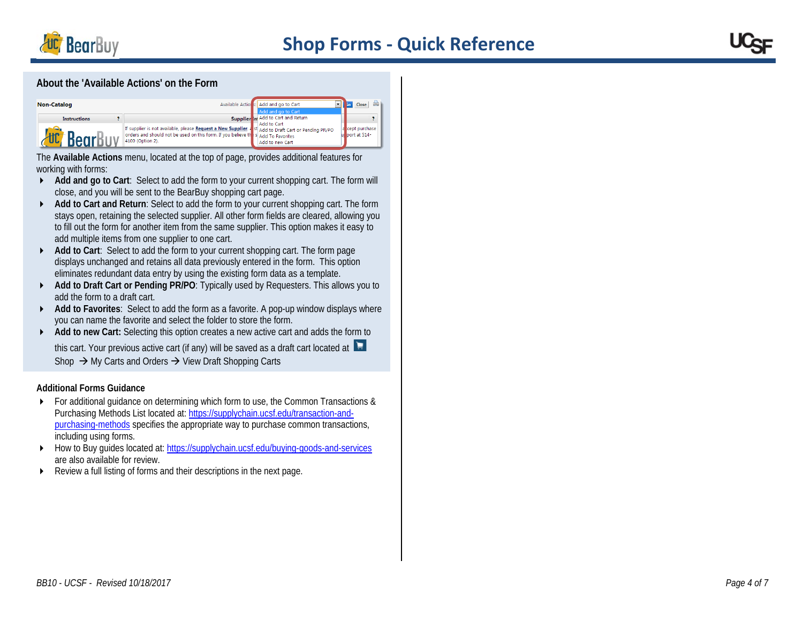



#### **About the 'Available Actions' on the Form**

| <b>Non-Catalog</b>  |                                                                                                                                                                                                               | Available Actions: Add and go to Cart<br>Add and go to Cart          |                                 |
|---------------------|---------------------------------------------------------------------------------------------------------------------------------------------------------------------------------------------------------------|----------------------------------------------------------------------|---------------------------------|
| <b>Instructions</b> | If supplier is not available, please Request a New Supplier. 4 st Add to Draft Cart or Pending PR/PO<br>orders and should not be used on this form. If you believe the S Add To Favorites<br>4100 (Option 2). | Supplier in Add to Cart and Return<br>Add to Cart<br>Add to new Cart | a cept purchase<br>port at 514- |

The **Available Actions** menu, located at the top of page, provides additional features for working with forms:

- **Add and go to Cart**: Select to add the form to your current shopping cart. The form will close, and you will be sent to the BearBuy shopping cart page.
- **Add to Cart and Return**: Select to add the form to your current shopping cart. The form stays open, retaining the selected supplier. All other form fields are cleared, allowing you to fill out the form for another item from the same supplier. This option makes it easy to add multiple items from one supplier to one cart.
- **Add to Cart**: Select to add the form to your current shopping cart. The form page displays unchanged and retains all data previously entered in the form. This option eliminates redundant data entry by using the existing form data as a template.
- **Add to Draft Cart or Pending PR/PO: Typically used by Requesters. This allows you to** add the form to a draft cart.
- **Add to Favorites**: Select to add the form as a favorite. A pop-up window displays where you can name the favorite and select the folder to store the form.
- ◆ **Add to new Cart:** Selecting this option creates a new active cart and adds the form to

this cart. Your previous active cart (if any) will be saved as a draft cart located at Shop  $\rightarrow$  My Carts and Orders  $\rightarrow$  View Draft Shopping Carts

#### **Additional Forms Guidance**

- For additional guidance on determining which form to use, the Common Transactions & Purchasing Methods List located at: [https://supplychain.ucsf.edu/transaction-and](https://supplychain.ucsf.edu/transaction-and-purchasing-methods)[purchasing-methods](https://supplychain.ucsf.edu/transaction-and-purchasing-methods) specifies the appropriate way to purchase common transactions, including using forms.
- ▶ How to Buy guides located at:<https://supplychain.ucsf.edu/buying-goods-and-services> are also available for review.
- Review a full listing of forms and their descriptions in the next page.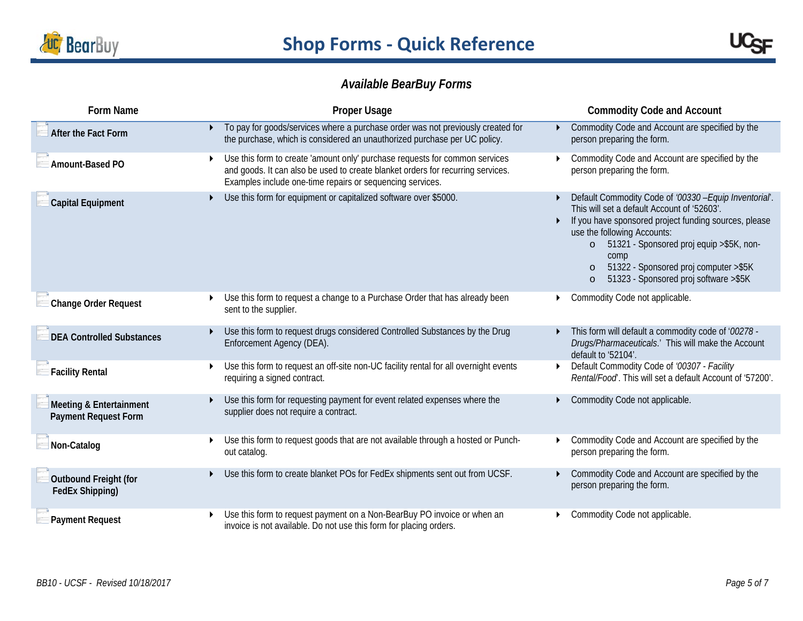



# *Available BearBuy Forms*

| <b>Form Name</b>                                       | <b>Proper Usage</b>                                                                                                                                                                                                         | <b>Commodity Code and Account</b>                                                                                                                                                                                                                                                                                                                           |
|--------------------------------------------------------|-----------------------------------------------------------------------------------------------------------------------------------------------------------------------------------------------------------------------------|-------------------------------------------------------------------------------------------------------------------------------------------------------------------------------------------------------------------------------------------------------------------------------------------------------------------------------------------------------------|
| After the Fact Form                                    | To pay for goods/services where a purchase order was not previously created for<br>the purchase, which is considered an unauthorized purchase per UC policy.                                                                | Commodity Code and Account are specified by the<br>person preparing the form.                                                                                                                                                                                                                                                                               |
| Amount-Based PO                                        | Use this form to create 'amount only' purchase requests for common services<br>and goods. It can also be used to create blanket orders for recurring services.<br>Examples include one-time repairs or sequencing services. | Commodity Code and Account are specified by the<br>person preparing the form.                                                                                                                                                                                                                                                                               |
| <b>Capital Equipment</b>                               | Use this form for equipment or capitalized software over \$5000.                                                                                                                                                            | Default Commodity Code of '00330 - Equip Inventorial'.<br>This will set a default Account of '52603'.<br>If you have sponsored project funding sources, please<br>use the following Accounts:<br>51321 - Sponsored proj equip > \$5K, non-<br>$\circ$<br>comp<br>51322 - Sponsored proj computer >\$5K<br>51323 - Sponsored proj software > \$5K<br>$\circ$ |
| Change Order Request                                   | Use this form to request a change to a Purchase Order that has already been<br>sent to the supplier.                                                                                                                        | Commodity Code not applicable.                                                                                                                                                                                                                                                                                                                              |
| <b>DEA Controlled Substances</b>                       | Use this form to request drugs considered Controlled Substances by the Drug<br>Enforcement Agency (DEA).                                                                                                                    | This form will default a commodity code of '00278 -<br>Drugs/Pharmaceuticals.' This will make the Account<br>default to '52104'.                                                                                                                                                                                                                            |
| $\exists$ Facility Rental                              | Use this form to request an off-site non-UC facility rental for all overnight events<br>requiring a signed contract.                                                                                                        | Default Commodity Code of '00307 - Facility<br>Rental/Food'. This will set a default Account of '57200'.                                                                                                                                                                                                                                                    |
| Meeting & Entertainment<br><b>Payment Request Form</b> | Use this form for requesting payment for event related expenses where the<br>supplier does not require a contract.                                                                                                          | Commodity Code not applicable.                                                                                                                                                                                                                                                                                                                              |
| Non-Catalog                                            | Use this form to request goods that are not available through a hosted or Punch-<br>out catalog.                                                                                                                            | Commodity Code and Account are specified by the<br>person preparing the form.                                                                                                                                                                                                                                                                               |
| Outbound Freight (for<br>FedEx Shipping)               | Use this form to create blanket POs for FedEx shipments sent out from UCSF.                                                                                                                                                 | Commodity Code and Account are specified by the<br>person preparing the form.                                                                                                                                                                                                                                                                               |
| Payment Request                                        | Use this form to request payment on a Non-BearBuy PO invoice or when an<br>invoice is not available. Do not use this form for placing orders.                                                                               | Commodity Code not applicable.                                                                                                                                                                                                                                                                                                                              |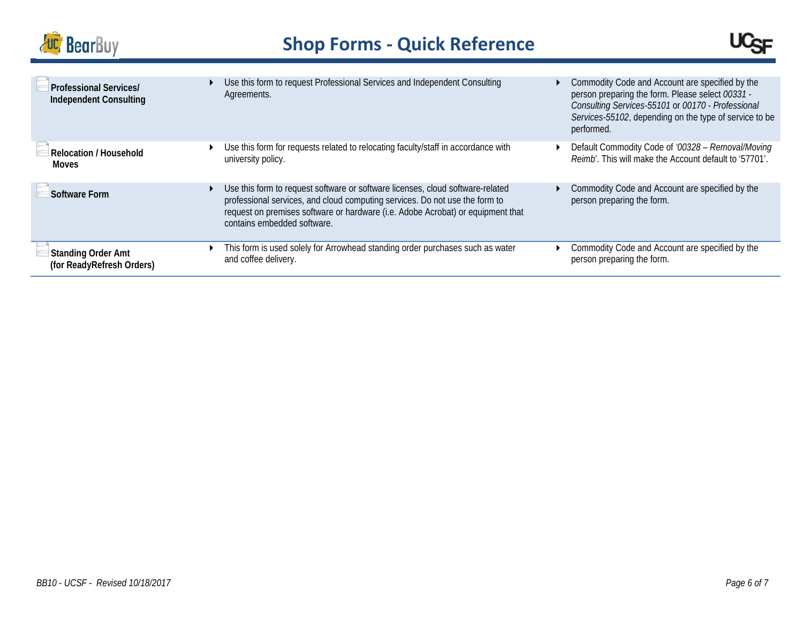



| <b>Professional Services/</b><br><b>Independent Consulting</b> | Use this form to request Professional Services and Independent Consulting<br>Agreements.                                                                                                                                                                                        | Commodity Code and Account are specified by the<br>person preparing the form. Please select 00331 -<br>Consulting Services-55101 or 00170 - Professional<br>Services-55102, depending on the type of service to be<br>performed. |
|----------------------------------------------------------------|---------------------------------------------------------------------------------------------------------------------------------------------------------------------------------------------------------------------------------------------------------------------------------|----------------------------------------------------------------------------------------------------------------------------------------------------------------------------------------------------------------------------------|
| Relocation / Household                                         | Use this form for requests related to relocating faculty/staff in accordance with                                                                                                                                                                                               | Default Commodity Code of '00328 - Removal/Moving                                                                                                                                                                                |
| Moves                                                          | university policy.                                                                                                                                                                                                                                                              | Reimb'. This will make the Account default to '57701'.                                                                                                                                                                           |
| Software Form                                                  | Use this form to request software or software licenses, cloud software-related<br>professional services, and cloud computing services. Do not use the form to<br>request on premises software or hardware (i.e. Adobe Acrobat) or equipment that<br>contains embedded software. | Commodity Code and Account are specified by the<br>person preparing the form.                                                                                                                                                    |
| <b>Standing Order Amt</b>                                      | This form is used solely for Arrowhead standing order purchases such as water                                                                                                                                                                                                   | Commodity Code and Account are specified by the                                                                                                                                                                                  |
| (for ReadyRefresh Orders)                                      | and coffee delivery.                                                                                                                                                                                                                                                            | person preparing the form.                                                                                                                                                                                                       |